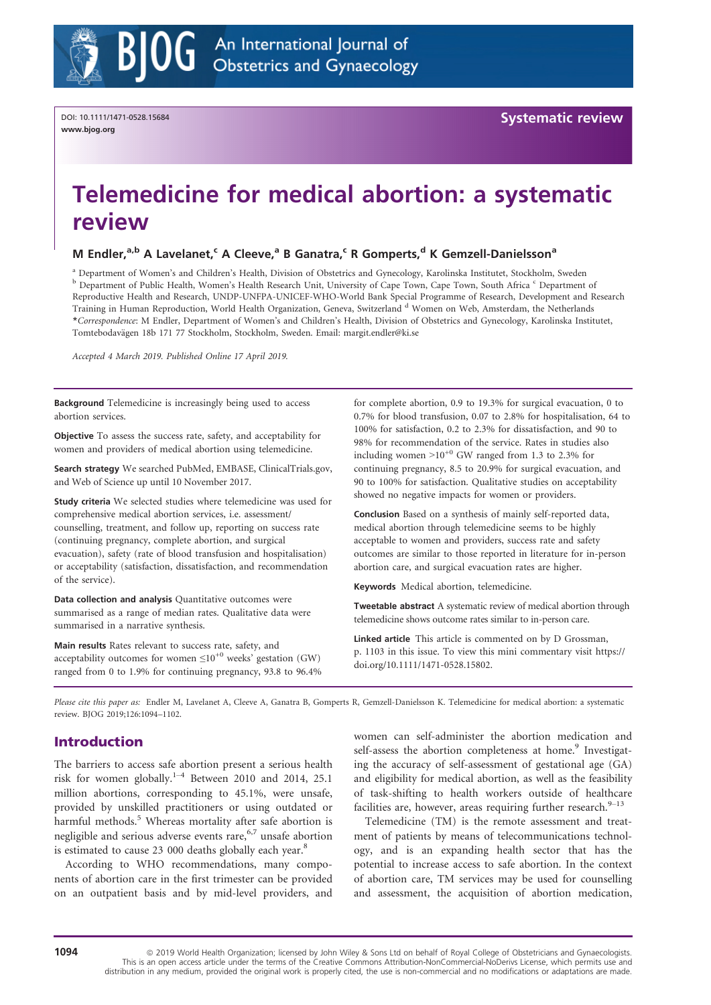

# Telemedicine for medical abortion: a systematic review

# M Endler,<sup>a,b</sup> A Lavelanet,<sup>c</sup> A Cleeve,<sup>a</sup> B Ganatra,<sup>c</sup> R Gomperts,<sup>d</sup> K Gemzell-Danielsson<sup>a</sup>

<sup>a</sup> Department of Women's and Children's Health, Division of Obstetrics and Gynecology, Karolinska Institutet, Stockholm, Sweden b Department of Public Health, Women's Health Research Unit, University of Cape Town, Cape Town, South Africa c Department of Reproductive Health and Research, UNDP-UNFPA-UNICEF-WHO-World Bank Special Programme of Research, Development and Research Training in Human Reproduction, World Health Organization, Geneva, Switzerland <sup>d</sup> Women on Web, Amsterdam, the Netherlands \*Correspondence: M Endler, Department of Women's and Children's Health, Division of Obstetrics and Gynecology, Karolinska Institutet, Tomtebodavägen 18b 171 77 Stockholm, Stockholm, Sweden. Email: [margit.endler@ki.se](mailto:)

Accepted 4 March 2019. Published Online 17 April 2019.

Background Telemedicine is increasingly being used to access abortion services.

Objective To assess the success rate, safety, and acceptability for women and providers of medical abortion using telemedicine.

Search strategy We searched PubMed, EMBASE, ClinicalTrials.gov, and Web of Science up until 10 November 2017.

Study criteria We selected studies where telemedicine was used for comprehensive medical abortion services, i.e. assessment/ counselling, treatment, and follow up, reporting on success rate (continuing pregnancy, complete abortion, and surgical evacuation), safety (rate of blood transfusion and hospitalisation) or acceptability (satisfaction, dissatisfaction, and recommendation of the service).

Data collection and analysis Quantitative outcomes were summarised as a range of median rates. Qualitative data were summarised in a narrative synthesis.

Main results Rates relevant to success rate, safety, and acceptability outcomes for women  $\leq 10^{+0}$  weeks' gestation (GW) ranged from 0 to 1.9% for continuing pregnancy, 93.8 to 96.4%

for complete abortion, 0.9 to 19.3% for surgical evacuation, 0 to 0.7% for blood transfusion, 0.07 to 2.8% for hospitalisation, 64 to 100% for satisfaction, 0.2 to 2.3% for dissatisfaction, and 90 to 98% for recommendation of the service. Rates in studies also including women  $>10^{+0}$  GW ranged from 1.3 to 2.3% for continuing pregnancy, 8.5 to 20.9% for surgical evacuation, and 90 to 100% for satisfaction. Qualitative studies on acceptability showed no negative impacts for women or providers.

Conclusion Based on a synthesis of mainly self-reported data, medical abortion through telemedicine seems to be highly acceptable to women and providers, success rate and safety outcomes are similar to those reported in literature for in-person abortion care, and surgical evacuation rates are higher.

Keywords Medical abortion, telemedicine.

Tweetable abstract A systematic review of medical abortion through telemedicine shows outcome rates similar to in-person care.

Linked article This article is commented on by D Grossman, p. 1103 in this issue. To view this mini commentary visit [https://](https://doi.org/10.1111/1471-0528.15802) [doi.org/10.1111/1471-0528.15802.](https://doi.org/10.1111/1471-0528.15802)

Please cite this paper as: Endler M, Lavelanet A, Cleeve A, Ganatra B, Gomperts R, Gemzell-Danielsson K. Telemedicine for medical abortion: a systematic review. BJOG 2019;126:1094–1102.

# Introduction

The barriers to access safe abortion present a serious health risk for women globally.<sup>1–4</sup> Between 2010 and 2014, 25.1 million abortions, corresponding to 45.1%, were unsafe, provided by unskilled practitioners or using outdated or harmful methods.<sup>5</sup> Whereas mortality after safe abortion is negligible and serious adverse events rare,  $6,7$  unsafe abortion is estimated to cause 23 000 deaths globally each year.<sup>8</sup>

According to WHO recommendations, many components of abortion care in the first trimester can be provided on an outpatient basis and by mid-level providers, and

women can self-administer the abortion medication and self-assess the abortion completeness at home.<sup>9</sup> Investigating the accuracy of self-assessment of gestational age (GA) and eligibility for medical abortion, as well as the feasibility of task-shifting to health workers outside of healthcare facilities are, however, areas requiring further research.  $9-13$ 

Telemedicine (TM) is the remote assessment and treatment of patients by means of telecommunications technology, and is an expanding health sector that has the potential to increase access to safe abortion. In the context of abortion care, TM services may be used for counselling and assessment, the acquisition of abortion medication,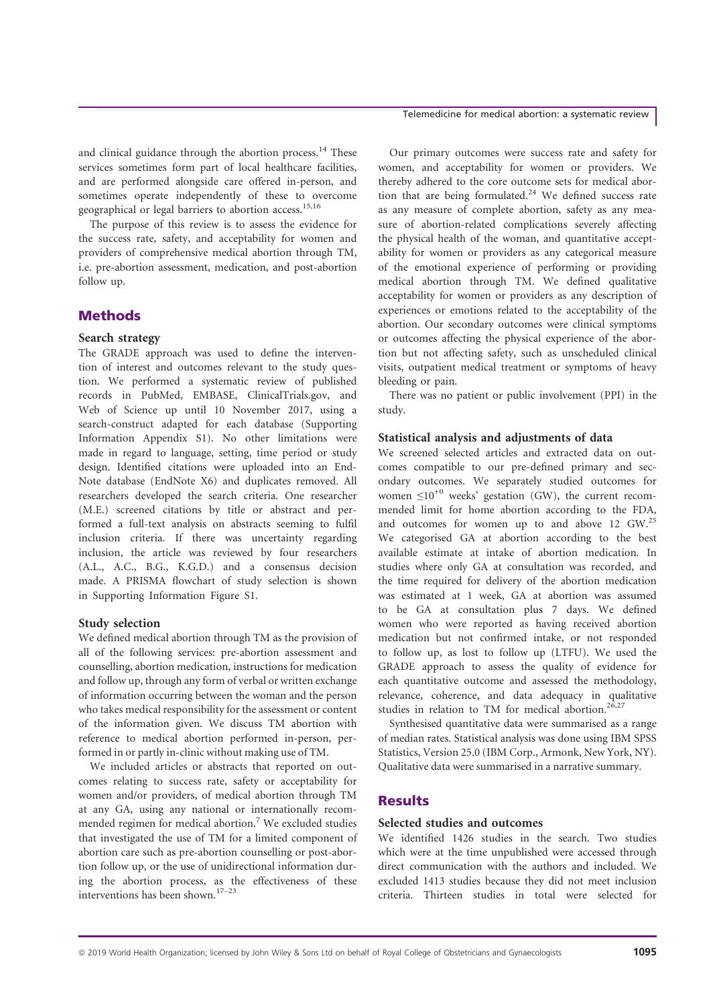and clinical guidance through the abortion process.<sup>14</sup> These services sometimes form part of local healthcare facilities, and are performed alongside care offered in-person, and sometimes operate independently of these to overcome geographical or legal barriers to abortion access.<sup>15,16</sup>

The purpose of this review is to assess the evidence for the success rate, safety, and acceptability for women and providers of comprehensive medical abortion through TM, i.e. pre-abortion assessment, medication, and post-abortion follow up.

# **Methods**

## Search strategy

The GRADE approach was used to define the intervention of interest and outcomes relevant to the study question. We performed a systematic review of published records in PubMed, EMBASE, ClinicalTrials.gov, and Web of Science up until 10 November 2017, using a search-construct adapted for each database (Supporting Information Appendix S1). No other limitations were made in regard to language, setting, time period or study design. Identified citations were uploaded into an End-Note database (EndNote X6) and duplicates removed. All researchers developed the search criteria. One researcher (M.E.) screened citations by title or abstract and performed a full-text analysis on abstracts seeming to fulfil inclusion criteria. If there was uncertainty regarding inclusion, the article was reviewed by four researchers (A.L., A.C., B.G., K.G.D.) and a consensus decision made. A PRISMA flowchart of study selection is shown in Supporting Information Figure S1.

## Study selection

We defined medical abortion through TM as the provision of all of the following services: pre-abortion assessment and counselling, abortion medication, instructions for medication and follow up, through any form of verbal or written exchange of information occurring between the woman and the person who takes medical responsibility for the assessment or content of the information given. We discuss TM abortion with reference to medical abortion performed in-person, performed in or partly in-clinic without making use of TM.

We included articles or abstracts that reported on outcomes relating to success rate, safety or acceptability for women and/or providers, of medical abortion through TM at any GA, using any national or internationally recommended regimen for medical abortion.<sup>7</sup> We excluded studies that investigated the use of TM for a limited component of abortion care such as pre-abortion counselling or post-abortion follow up, or the use of unidirectional information during the abortion process, as the effectiveness of these interventions has been shown.<sup>17–23</sup>

Our primary outcomes were success rate and safety for women, and acceptability for women or providers. We thereby adhered to the core outcome sets for medical abortion that are being formulated. $24$  We defined success rate as any measure of complete abortion, safety as any measure of abortion-related complications severely affecting the physical health of the woman, and quantitative acceptability for women or providers as any categorical measure of the emotional experience of performing or providing medical abortion through TM. We defined qualitative acceptability for women or providers as any description of experiences or emotions related to the acceptability of the abortion. Our secondary outcomes were clinical symptoms or outcomes affecting the physical experience of the abortion but not affecting safety, such as unscheduled clinical visits, outpatient medical treatment or symptoms of heavy bleeding or pain.

There was no patient or public involvement (PPI) in the study.

## Statistical analysis and adjustments of data

We screened selected articles and extracted data on outcomes compatible to our pre-defined primary and secondary outcomes. We separately studied outcomes for women  $\leq 10^{+0}$  weeks' gestation (GW), the current recommended limit for home abortion according to the FDA, and outcomes for women up to and above 12 GW.<sup>25</sup> We categorised GA at abortion according to the best available estimate at intake of abortion medication. In studies where only GA at consultation was recorded, and the time required for delivery of the abortion medication was estimated at 1 week, GA at abortion was assumed to be GA at consultation plus 7 days. We defined women who were reported as having received abortion medication but not confirmed intake, or not responded to follow up, as lost to follow up (LTFU). We used the GRADE approach to assess the quality of evidence for each quantitative outcome and assessed the methodology, relevance, coherence, and data adequacy in qualitative studies in relation to TM for medical abortion.<sup>26,27</sup>

Synthesised quantitative data were summarised as a range of median rates. Statistical analysis was done using IBM SPSS Statistics, Version 25.0 (IBM Corp., Armonk, New York, NY). Qualitative data were summarised in a narrative summary.

# **Results**

### Selected studies and outcomes

We identified 1426 studies in the search. Two studies which were at the time unpublished were accessed through direct communication with the authors and included. We excluded 1413 studies because they did not meet inclusion criteria. Thirteen studies in total were selected for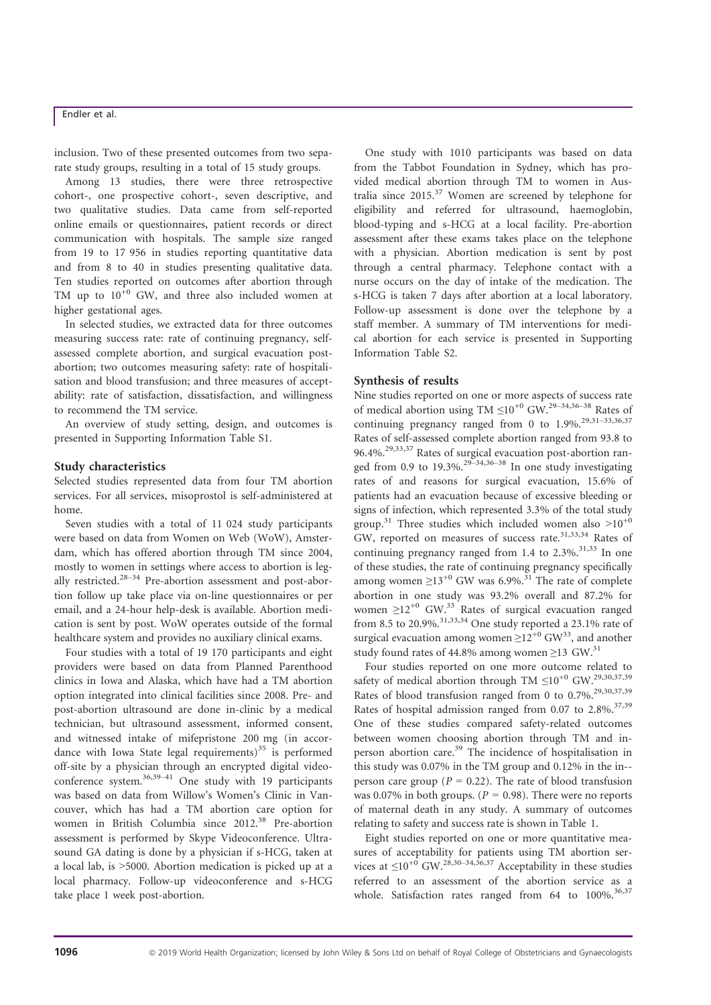inclusion. Two of these presented outcomes from two separate study groups, resulting in a total of 15 study groups.

Among 13 studies, there were three retrospective cohort-, one prospective cohort-, seven descriptive, and two qualitative studies. Data came from self-reported online emails or questionnaires, patient records or direct communication with hospitals. The sample size ranged from 19 to 17 956 in studies reporting quantitative data and from 8 to 40 in studies presenting qualitative data. Ten studies reported on outcomes after abortion through TM up to  $10^{+0}$  GW, and three also included women at higher gestational ages.

In selected studies, we extracted data for three outcomes measuring success rate: rate of continuing pregnancy, selfassessed complete abortion, and surgical evacuation postabortion; two outcomes measuring safety: rate of hospitalisation and blood transfusion; and three measures of acceptability: rate of satisfaction, dissatisfaction, and willingness to recommend the TM service.

An overview of study setting, design, and outcomes is presented in Supporting Information Table S1.

#### Study characteristics

Selected studies represented data from four TM abortion services. For all services, misoprostol is self-administered at home.

Seven studies with a total of 11 024 study participants were based on data from Women on Web (WoW), Amsterdam, which has offered abortion through TM since 2004, mostly to women in settings where access to abortion is legally restricted.<sup>28-34</sup> Pre-abortion assessment and post-abortion follow up take place via on-line questionnaires or per email, and a 24-hour help-desk is available. Abortion medication is sent by post. WoW operates outside of the formal healthcare system and provides no auxiliary clinical exams.

Four studies with a total of 19 170 participants and eight providers were based on data from Planned Parenthood clinics in Iowa and Alaska, which have had a TM abortion option integrated into clinical facilities since 2008. Pre- and post-abortion ultrasound are done in-clinic by a medical technician, but ultrasound assessment, informed consent, and witnessed intake of mifepristone 200 mg (in accordance with Iowa State legal requirements) $35$  is performed off-site by a physician through an encrypted digital videoconference system.<sup>36,39–41</sup> One study with 19 participants was based on data from Willow's Women's Clinic in Vancouver, which has had a TM abortion care option for women in British Columbia since 2012.<sup>38</sup> Pre-abortion assessment is performed by Skype Videoconference. Ultrasound GA dating is done by a physician if s-HCG, taken at a local lab, is >5000. Abortion medication is picked up at a local pharmacy. Follow-up videoconference and s-HCG take place 1 week post-abortion.

One study with 1010 participants was based on data from the Tabbot Foundation in Sydney, which has provided medical abortion through TM to women in Australia since  $2015$ .<sup>37</sup> Women are screened by telephone for eligibility and referred for ultrasound, haemoglobin, blood-typing and s-HCG at a local facility. Pre-abortion assessment after these exams takes place on the telephone with a physician. Abortion medication is sent by post through a central pharmacy. Telephone contact with a nurse occurs on the day of intake of the medication. The s-HCG is taken 7 days after abortion at a local laboratory. Follow-up assessment is done over the telephone by a staff member. A summary of TM interventions for medical abortion for each service is presented in Supporting Information Table S2.

#### Synthesis of results

Nine studies reported on one or more aspects of success rate of medical abortion using TM  $\leq 10^{+0}$  GW.<sup>29–34,36–38</sup> Rates of continuing pregnancy ranged from 0 to  $1.9\%$ <sup>29,31-33,36,37</sup> Rates of self-assessed complete abortion ranged from 93.8 to 96.4%.29,33,37 Rates of surgical evacuation post-abortion ranged from 0.9 to 19.3%.<sup>29–34,36–38</sup> In one study investigating rates of and reasons for surgical evacuation, 15.6% of patients had an evacuation because of excessive bleeding or signs of infection, which represented 3.3% of the total study group.<sup>31</sup> Three studies which included women also  $>10^{+0}$ GW, reported on measures of success rate.<sup>31,33,34</sup> Rates of continuing pregnancy ranged from 1.4 to  $2.3\%$ <sup>31,33</sup> In one of these studies, the rate of continuing pregnancy specifically among women  $\geq$ 13<sup>+0</sup> GW was 6.9%.<sup>31</sup> The rate of complete abortion in one study was 93.2% overall and 87.2% for women  $>12^{+0}$  GW.<sup>33</sup> Rates of surgical evacuation ranged from 8.5 to 20.9%,  $^{31,33,34}$  One study reported a 23.1% rate of surgical evacuation among women  $\geq 12^{+0}$  GW<sup>33</sup>, and another study found rates of 44.8% among women  $\geq$ 13 GW.<sup>31</sup>

Four studies reported on one more outcome related to safety of medical abortion through TM  $\leq 10^{+0}$  GW.<sup>29,30,37,39</sup> Rates of blood transfusion ranged from 0 to  $0.7\%$ <sup>29,30,37,39</sup> Rates of hospital admission ranged from 0.07 to  $2.8\%$ .<sup>37,39</sup> One of these studies compared safety-related outcomes between women choosing abortion through TM and inperson abortion care.<sup>39</sup> The incidence of hospitalisation in this study was 0.07% in the TM group and 0.12% in the in- person care group ( $P = 0.22$ ). The rate of blood transfusion was 0.07% in both groups. ( $P = 0.98$ ). There were no reports of maternal death in any study. A summary of outcomes relating to safety and success rate is shown in Table 1.

Eight studies reported on one or more quantitative measures of acceptability for patients using TM abortion services at  $\leq 10^{+0}$  GW.<sup>28,30–34,36,37</sup> Acceptability in these studies referred to an assessment of the abortion service as a whole. Satisfaction rates ranged from  $64$  to  $100\%$ .<sup>36,37</sup>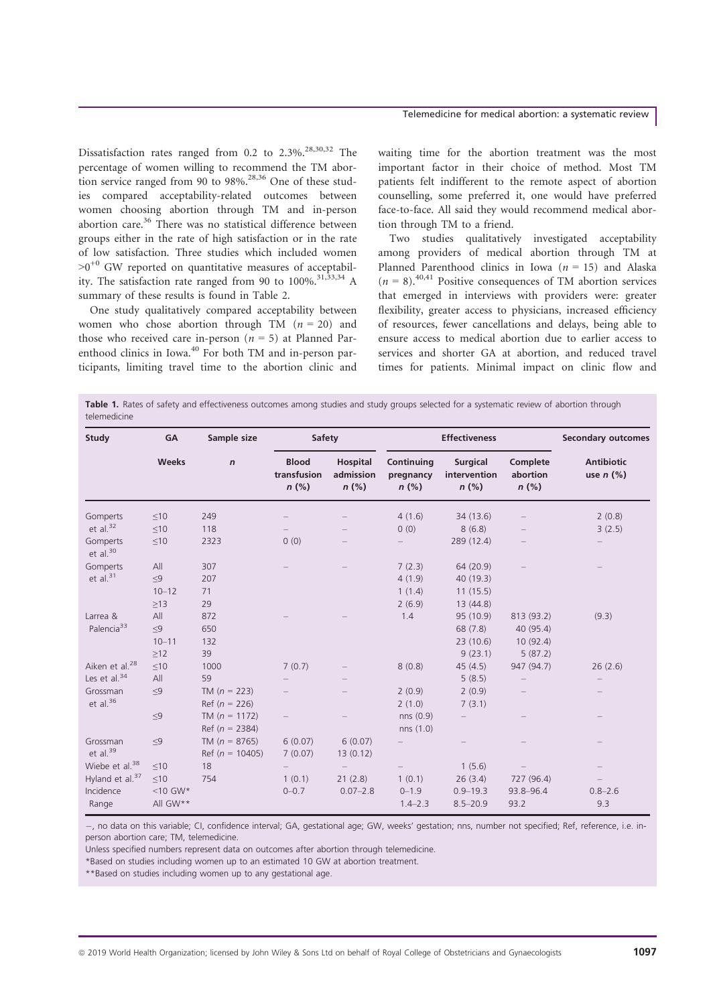## Telemedicine for medical abortion: a systematic review

Dissatisfaction rates ranged from 0.2 to  $2.3\%$ <sup>28,30,32</sup> The percentage of women willing to recommend the TM abortion service ranged from 90 to 98%.<sup>28,36</sup> One of these studies compared acceptability-related outcomes between women choosing abortion through TM and in-person abortion care. $36$  There was no statistical difference between groups either in the rate of high satisfaction or in the rate of low satisfaction. Three studies which included women  $>0^{+0}$  GW reported on quantitative measures of acceptability. The satisfaction rate ranged from 90 to  $100\%$ .<sup>31,33,34</sup> A summary of these results is found in Table 2.

One study qualitatively compared acceptability between women who chose abortion through TM  $(n = 20)$  and those who received care in-person  $(n = 5)$  at Planned Parenthood clinics in Iowa.<sup>40</sup> For both TM and in-person participants, limiting travel time to the abortion clinic and waiting time for the abortion treatment was the most important factor in their choice of method. Most TM patients felt indifferent to the remote aspect of abortion counselling, some preferred it, one would have preferred face-to-face. All said they would recommend medical abortion through TM to a friend.

Two studies qualitatively investigated acceptability among providers of medical abortion through TM at Planned Parenthood clinics in Iowa ( $n = 15$ ) and Alaska  $(n = 8)$ <sup>40,41</sup> Positive consequences of TM abortion services that emerged in interviews with providers were: greater flexibility, greater access to physicians, increased efficiency of resources, fewer cancellations and delays, being able to ensure access to medical abortion due to earlier access to services and shorter GA at abortion, and reduced travel times for patients. Minimal impact on clinic flow and

Table 1. Rates of safety and effectiveness outcomes among studies and study groups selected for a systematic review of abortion through telemedicine

| Study                       | GA<br><b>Weeks</b> | Sample size<br>$\mathsf{n}$ | Safety                                 |                                  | <b>Effectiveness</b>               |                                            |                                 | <b>Secondary outcomes</b>           |
|-----------------------------|--------------------|-----------------------------|----------------------------------------|----------------------------------|------------------------------------|--------------------------------------------|---------------------------------|-------------------------------------|
|                             |                    |                             | <b>Blood</b><br>transfusion<br>$n$ (%) | Hospital<br>admission<br>$n$ (%) | Continuing<br>pregnancy<br>$n$ (%) | <b>Surgical</b><br>intervention<br>$n$ (%) | Complete<br>abortion<br>$n$ (%) | <b>Antibiotic</b><br>use $n$ $(\%)$ |
| Gomperts                    | $\leq 10$          | 249                         |                                        |                                  | 4(1.6)                             | 34 (13.6)                                  |                                 | 2(0.8)                              |
| et al. $32$                 | $\leq 10$          | 118                         |                                        |                                  | 0(0)                               | 8(6.8)                                     |                                 | 3(2.5)                              |
| Gomperts<br>et al. $30$     | $\leq 10$          | 2323                        | 0(0)                                   |                                  |                                    | 289 (12.4)                                 |                                 |                                     |
| Gomperts                    | All                | 307                         |                                        |                                  | 7(2.3)                             | 64 (20.9)                                  |                                 |                                     |
| et al. $31$                 | $\leq$ 9           | 207                         |                                        |                                  | 4(1.9)                             | 40 (19.3)                                  |                                 |                                     |
|                             | $10 - 12$          | 71                          |                                        |                                  | 1(1.4)                             | 11(15.5)                                   |                                 |                                     |
|                             | $\geq$ 13          | 29                          |                                        |                                  | 2(6.9)                             | 13 (44.8)                                  |                                 |                                     |
| Larrea &                    | All                | 872                         |                                        |                                  | 1.4                                | 95 (10.9)                                  | 813 (93.2)                      | (9.3)                               |
| Palencia <sup>33</sup>      | $\leq$ 9           | 650                         |                                        |                                  |                                    | 68 (7.8)                                   | 40 (95.4)                       |                                     |
|                             | $10 - 11$          | 132                         |                                        |                                  |                                    | 23 (10.6)                                  | 10(92.4)                        |                                     |
|                             | $\geq12$           | 39                          |                                        |                                  |                                    | 9(23.1)                                    | 5(87.2)                         |                                     |
| Aiken et al. <sup>28</sup>  | $\leq 10$          | 1000                        | 7(0.7)                                 |                                  | 8(0.8)                             | 45(4.5)                                    | 947 (94.7)                      | 26(2.6)                             |
| Les et al. $34$             | All                | 59                          |                                        |                                  |                                    | 5(8.5)                                     |                                 |                                     |
| Grossman                    | $\leq$ 9           | TM $(n = 223)$              |                                        |                                  | 2(0.9)                             | 2(0.9)                                     |                                 |                                     |
| et al. $36$                 |                    | Ref $(n = 226)$             |                                        |                                  | 2(1.0)                             | 7(3.1)                                     |                                 |                                     |
|                             | $\leq$ 9           | TM $(n = 1172)$             |                                        |                                  | nns(0.9)                           |                                            |                                 |                                     |
|                             |                    | Ref $(n = 2384)$            |                                        |                                  | nns (1.0)                          |                                            |                                 |                                     |
| Grossman                    | $\leq$ 9           | TM ( $n = 8765$ )           | 6(0.07)                                | 6(0.07)                          |                                    |                                            |                                 |                                     |
| et al. $39$                 |                    | Ref ( $n = 10405$ )         | 7(0.07)                                | 13(0.12)                         |                                    |                                            |                                 |                                     |
| Wiebe et al. $38$           | $\leq 10$          | 18                          |                                        |                                  |                                    | 1(5.6)                                     |                                 |                                     |
| Hyland et al. <sup>37</sup> | $\leq 10$          | 754                         | 1(0.1)                                 | 21(2.8)                          | 1(0.1)                             | 26(3.4)                                    | 727 (96.4)                      |                                     |
| Incidence                   | $<$ 10 GW*         |                             | $0 - 0.7$                              | $0.07 - 2.8$                     | $0 - 1.9$                          | $0.9 - 19.3$                               | 93.8-96.4                       | $0.8 - 2.6$                         |
| Range                       | All GW**           |                             |                                        |                                  | $1.4 - 2.3$                        | $8.5 - 20.9$                               | 93.2                            | 9.3                                 |

, no data on this variable; CI, confidence interval; GA, gestational age; GW, weeks' gestation; nns, number not specified; Ref, reference, i.e. inperson abortion care; TM, telemedicine.

Unless specified numbers represent data on outcomes after abortion through telemedicine.

\*Based on studies including women up to an estimated 10 GW at abortion treatment.

\*\*Based on studies including women up to any gestational age.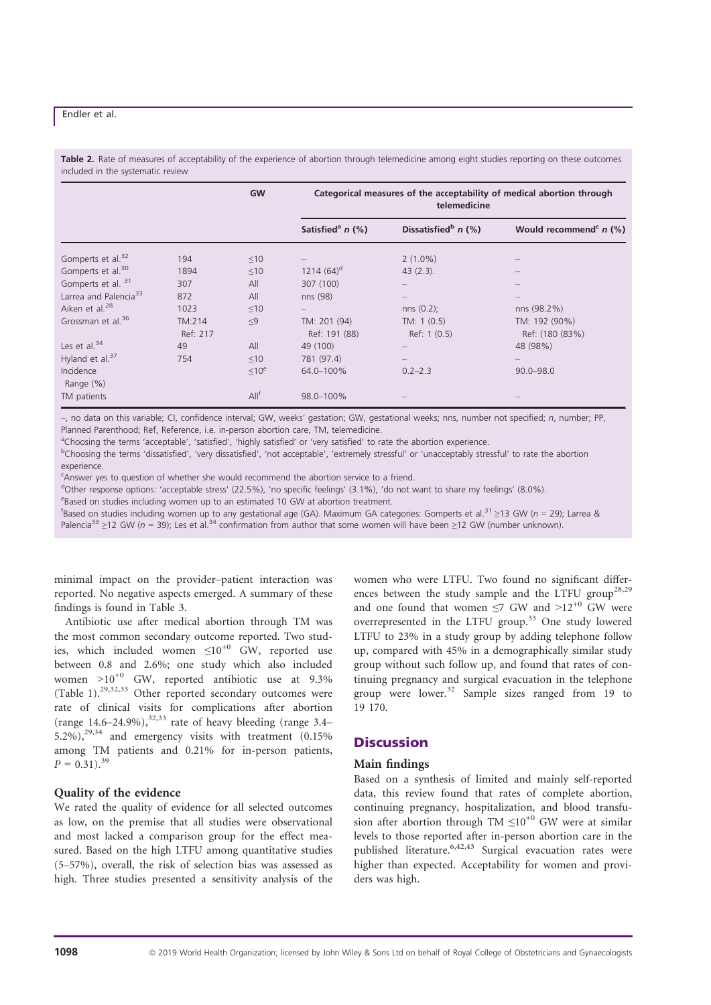Table 2. Rate of measures of acceptability of the experience of abortion through telemedicine among eight studies reporting on these outcomes included in the systematic review

|                                   |                    | <b>GW</b>         | Categorical measures of the acceptability of medical abortion through<br>telemedicine |                                   |                                      |  |
|-----------------------------------|--------------------|-------------------|---------------------------------------------------------------------------------------|-----------------------------------|--------------------------------------|--|
|                                   |                    |                   | Satisfied <sup>a</sup> $n$ (%)                                                        | Dissatisfied <sup>b</sup> $n$ (%) | Would recommend <sup>c</sup> $n$ (%) |  |
| Gomperts et al. <sup>32</sup>     | 194                | $\leq 10$         |                                                                                       | $2(1.0\%)$                        |                                      |  |
| Gomperts et al. <sup>30</sup>     | 1894               | $\leq 10$         | $1214(64)^d$                                                                          | $43(2.3)$ .                       |                                      |  |
| Gomperts et al. 31                | 307                | All               | 307 (100)                                                                             |                                   |                                      |  |
| Larrea and Palencia <sup>33</sup> | 872                | All               | nns (98)                                                                              |                                   |                                      |  |
| Aiken et al. <sup>28</sup>        | 1023               | $\leq 10$         |                                                                                       | $nns(0.2)$ ;                      | nns (98.2%)                          |  |
| Grossman et al. <sup>36</sup>     | TM:214<br>Ref: 217 | $\leq9$           | TM: 201 (94)<br>Ref: 191 (88)                                                         | TM: 1 (0.5)<br>Ref: 1 (0.5)       | TM: 192 (90%)<br>Ref: (180 (83%)     |  |
| Les et al. $34$                   | 49                 | All               | 49 (100)                                                                              |                                   | 48 (98%)                             |  |
| Hyland et al. $37$                | 754                | $\leq 10$         | 781 (97.4)                                                                            | $\qquad \qquad -$                 |                                      |  |
| Incidence<br>Range $(\%)$         |                    | < 10 <sup>e</sup> | 64.0-100%                                                                             | $0.2 - 2.3$                       | $90.0 - 98.0$                        |  |
| TM patients                       |                    | All <sup>f</sup>  | 98.0-100%                                                                             |                                   |                                      |  |

–, no data on this variable; CI, confidence interval; GW, weeks' gestation; GW, gestational weeks; nns, number not specified; n, number; PP, Planned Parenthood; Ref, Reference, i.e. in-person abortion care, TM, telemedicine.

<sup>a</sup>Choosing the terms 'acceptable', 'satisfied', 'highly satisfied' or 'very satisfied' to rate the abortion experience.

<sup>b</sup>Choosing the terms 'dissatisfied', 'very dissatisfied', 'not acceptable', 'extremely stressful' or 'unacceptably stressful' to rate the abortion

experience.

<sup>c</sup>Answer yes to question of whether she would recommend the abortion service to a friend.

d Other response options: 'acceptable stress' (22.5%), 'no specific feelings' (3.1%), 'do not want to share my feelings' (8.0%).

eBased on studies including women up to an estimated 10 GW at abortion treatment.

fBased on studies including women up to any gestational age (GA). Maximum GA categories: Gomperts et al.<sup>31</sup> ≥13 GW (n = 29); Larrea &

Palencia<sup>33</sup> ≥12 GW (n = 39); Les et al.<sup>34</sup> confirmation from author that some women will have been ≥12 GW (number unknown).

minimal impact on the provider–patient interaction was reported. No negative aspects emerged. A summary of these findings is found in Table 3.

Antibiotic use after medical abortion through TM was the most common secondary outcome reported. Two studies, which included women  $\leq 10^{+0}$  GW, reported use between 0.8 and 2.6%; one study which also included women  $>10^{+0}$  GW, reported antibiotic use at 9.3% (Table 1).29,32,33 Other reported secondary outcomes were rate of clinical visits for complications after abortion (range  $14.6-24.9\%$ ),<sup>32,33</sup> rate of heavy bleeding (range 3.4– 5.2%), $29,34$  and emergency visits with treatment (0.15%) among TM patients and 0.21% for in-person patients,  $P = 0.31$ .<sup>39</sup>

### Quality of the evidence

We rated the quality of evidence for all selected outcomes as low, on the premise that all studies were observational and most lacked a comparison group for the effect measured. Based on the high LTFU among quantitative studies (5–57%), overall, the risk of selection bias was assessed as high. Three studies presented a sensitivity analysis of the

women who were LTFU. Two found no significant differences between the study sample and the LTFU group<sup>28,29</sup> and one found that women  $\leq$ 7 GW and  $>12^{+0}$  GW were overrepresented in the LTFU group.<sup>33</sup> One study lowered LTFU to 23% in a study group by adding telephone follow up, compared with 45% in a demographically similar study group without such follow up, and found that rates of continuing pregnancy and surgical evacuation in the telephone group were lower.<sup>32</sup> Sample sizes ranged from 19 to 19 170.

# **Discussion**

## Main findings

Based on a synthesis of limited and mainly self-reported data, this review found that rates of complete abortion, continuing pregnancy, hospitalization, and blood transfusion after abortion through TM  $\leq 10^{+0}$  GW were at similar levels to those reported after in-person abortion care in the published literature.6,42,43 Surgical evacuation rates were higher than expected. Acceptability for women and providers was high.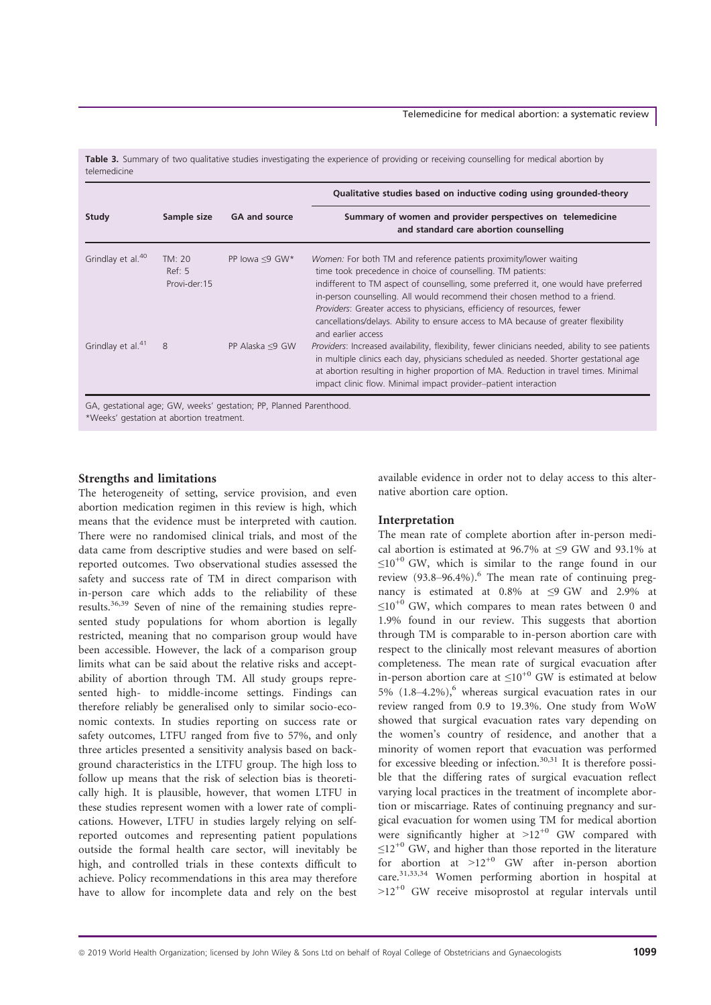Table 3. Summary of two qualitative studies investigating the experience of providing or receiving counselling for medical abortion by telemedicine

|                                  |                       | Qualitative studies based on inductive coding using grounded-theory<br>Summary of women and provider perspectives on telemedicine<br>and standard care abortion counselling                                                                                                                                                                                                                                                                                                                     |  |  |
|----------------------------------|-----------------------|-------------------------------------------------------------------------------------------------------------------------------------------------------------------------------------------------------------------------------------------------------------------------------------------------------------------------------------------------------------------------------------------------------------------------------------------------------------------------------------------------|--|--|
| Sample size                      | <b>GA and source</b>  |                                                                                                                                                                                                                                                                                                                                                                                                                                                                                                 |  |  |
| TM: 20<br>Ref: 5<br>Provi-der:15 | PP lowa $\leq$ 9 GW*  | Women: For both TM and reference patients proximity/lower waiting<br>time took precedence in choice of counselling. TM patients:<br>indifferent to TM aspect of counselling, some preferred it, one would have preferred<br>in-person counselling. All would recommend their chosen method to a friend.<br>Providers: Greater access to physicians, efficiency of resources, fewer<br>cancellations/delays. Ability to ensure access to MA because of greater flexibility<br>and earlier access |  |  |
| 8                                | PP Alaska $\leq$ 9 GW | Providers: Increased availability, flexibility, fewer clinicians needed, ability to see patients<br>in multiple clinics each day, physicians scheduled as needed. Shorter gestational age<br>at abortion resulting in higher proportion of MA. Reduction in travel times. Minimal<br>impact clinic flow. Minimal impact provider-patient interaction                                                                                                                                            |  |  |
|                                  |                       |                                                                                                                                                                                                                                                                                                                                                                                                                                                                                                 |  |  |

\*Weeks' gestation at abortion treatment.

#### Strengths and limitations

The heterogeneity of setting, service provision, and even abortion medication regimen in this review is high, which means that the evidence must be interpreted with caution. There were no randomised clinical trials, and most of the data came from descriptive studies and were based on selfreported outcomes. Two observational studies assessed the safety and success rate of TM in direct comparison with in-person care which adds to the reliability of these results.36,39 Seven of nine of the remaining studies represented study populations for whom abortion is legally restricted, meaning that no comparison group would have been accessible. However, the lack of a comparison group limits what can be said about the relative risks and acceptability of abortion through TM. All study groups represented high- to middle-income settings. Findings can therefore reliably be generalised only to similar socio-economic contexts. In studies reporting on success rate or safety outcomes, LTFU ranged from five to 57%, and only three articles presented a sensitivity analysis based on background characteristics in the LTFU group. The high loss to follow up means that the risk of selection bias is theoretically high. It is plausible, however, that women LTFU in these studies represent women with a lower rate of complications. However, LTFU in studies largely relying on selfreported outcomes and representing patient populations outside the formal health care sector, will inevitably be high, and controlled trials in these contexts difficult to achieve. Policy recommendations in this area may therefore have to allow for incomplete data and rely on the best available evidence in order not to delay access to this alternative abortion care option.

## Interpretation

The mean rate of complete abortion after in-person medical abortion is estimated at 96.7% at ≤9 GW and 93.1% at  $\leq 10^{+0}$  GW, which is similar to the range found in our review (93.8-96.4%).<sup>6</sup> The mean rate of continuing pregnancy is estimated at 0.8% at ≤9 GW and 2.9% at  $\leq 10^{+0}$  GW, which compares to mean rates between 0 and 1.9% found in our review. This suggests that abortion through TM is comparable to in-person abortion care with respect to the clinically most relevant measures of abortion completeness. The mean rate of surgical evacuation after in-person abortion care at  $\leq 10^{+0}$  GW is estimated at below 5%  $(1.8-4.2\%)$ , whereas surgical evacuation rates in our review ranged from 0.9 to 19.3%. One study from WoW showed that surgical evacuation rates vary depending on the women's country of residence, and another that a minority of women report that evacuation was performed for excessive bleeding or infection.<sup>30,31</sup> It is therefore possible that the differing rates of surgical evacuation reflect varying local practices in the treatment of incomplete abortion or miscarriage. Rates of continuing pregnancy and surgical evacuation for women using TM for medical abortion were significantly higher at  $>12^{+0}$  GW compared with  $\leq$ 12<sup>+0</sup> GW, and higher than those reported in the literature for abortion at  $>12^{+0}$  GW after in-person abortion care.31,33,34 Women performing abortion in hospital at  $>12^{+0}$  GW receive misoprostol at regular intervals until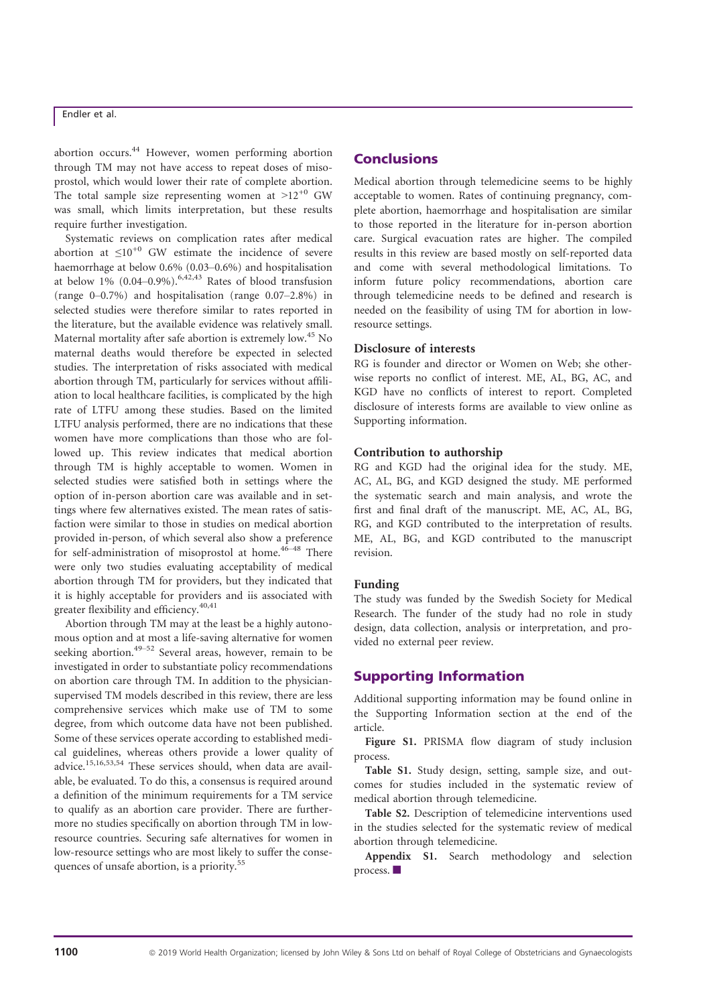abortion occurs.<sup>44</sup> However, women performing abortion through TM may not have access to repeat doses of misoprostol, which would lower their rate of complete abortion. The total sample size representing women at  $>12^{+0}$  GW was small, which limits interpretation, but these results require further investigation.

Systematic reviews on complication rates after medical abortion at  $\leq 10^{+0}$  GW estimate the incidence of severe haemorrhage at below 0.6% (0.03–0.6%) and hospitalisation at below  $1\%$  (0.04–0.9%).<sup>6,42,43</sup> Rates of blood transfusion (range 0–0.7%) and hospitalisation (range 0.07–2.8%) in selected studies were therefore similar to rates reported in the literature, but the available evidence was relatively small. Maternal mortality after safe abortion is extremely low.<sup>45</sup> No maternal deaths would therefore be expected in selected studies. The interpretation of risks associated with medical abortion through TM, particularly for services without affiliation to local healthcare facilities, is complicated by the high rate of LTFU among these studies. Based on the limited LTFU analysis performed, there are no indications that these women have more complications than those who are followed up. This review indicates that medical abortion through TM is highly acceptable to women. Women in selected studies were satisfied both in settings where the option of in-person abortion care was available and in settings where few alternatives existed. The mean rates of satisfaction were similar to those in studies on medical abortion provided in-person, of which several also show a preference for self-administration of misoprostol at home. $46-48$  There were only two studies evaluating acceptability of medical abortion through TM for providers, but they indicated that it is highly acceptable for providers and iis associated with greater flexibility and efficiency.<sup>40,41</sup>

Abortion through TM may at the least be a highly autonomous option and at most a life-saving alternative for women seeking abortion.<sup>49–52</sup> Several areas, however, remain to be investigated in order to substantiate policy recommendations on abortion care through TM. In addition to the physiciansupervised TM models described in this review, there are less comprehensive services which make use of TM to some degree, from which outcome data have not been published. Some of these services operate according to established medical guidelines, whereas others provide a lower quality of advice.15,16,53,54 These services should, when data are available, be evaluated. To do this, a consensus is required around a definition of the minimum requirements for a TM service to qualify as an abortion care provider. There are furthermore no studies specifically on abortion through TM in lowresource countries. Securing safe alternatives for women in low-resource settings who are most likely to suffer the consequences of unsafe abortion, is a priority.<sup>55</sup>

# **Conclusions**

Medical abortion through telemedicine seems to be highly acceptable to women. Rates of continuing pregnancy, complete abortion, haemorrhage and hospitalisation are similar to those reported in the literature for in-person abortion care. Surgical evacuation rates are higher. The compiled results in this review are based mostly on self-reported data and come with several methodological limitations. To inform future policy recommendations, abortion care through telemedicine needs to be defined and research is needed on the feasibility of using TM for abortion in lowresource settings.

### Disclosure of interests

RG is founder and director or Women on Web; she otherwise reports no conflict of interest. ME, AL, BG, AC, and KGD have no conflicts of interest to report. Completed disclosure of interests forms are available to view online as Supporting information.

# Contribution to authorship

RG and KGD had the original idea for the study. ME, AC, AL, BG, and KGD designed the study. ME performed the systematic search and main analysis, and wrote the first and final draft of the manuscript. ME, AC, AL, BG, RG, and KGD contributed to the interpretation of results. ME, AL, BG, and KGD contributed to the manuscript revision.

#### Funding

The study was funded by the Swedish Society for Medical Research. The funder of the study had no role in study design, data collection, analysis or interpretation, and provided no external peer review.

## Supporting Information

Additional supporting information may be found online in the Supporting Information section at the end of the article.

Figure S1. PRISMA flow diagram of study inclusion process.

Table S1. Study design, setting, sample size, and outcomes for studies included in the systematic review of medical abortion through telemedicine.

Table S2. Description of telemedicine interventions used in the studies selected for the systematic review of medical abortion through telemedicine.

Appendix S1. Search methodology and selection process.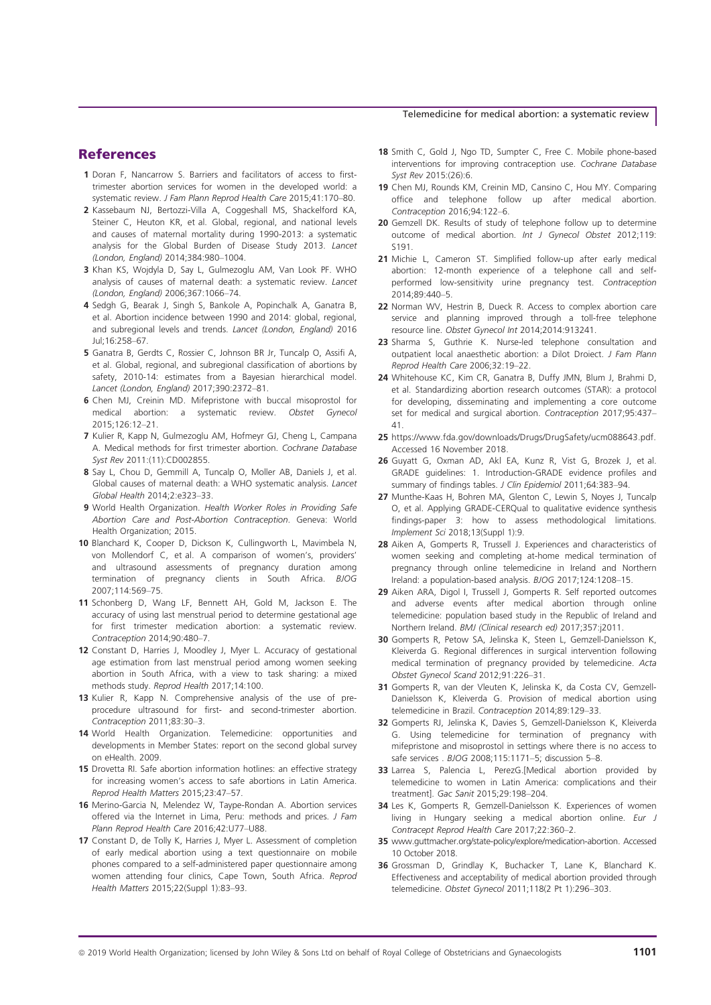#### Telemedicine for medical abortion: a systematic review

# References

- 1 Doran F, Nancarrow S. Barriers and facilitators of access to firsttrimester abortion services for women in the developed world: a systematic review. J Fam Plann Reprod Health Care 2015;41:170–80.
- 2 Kassebaum NJ, Bertozzi-Villa A, Coggeshall MS, Shackelford KA, Steiner C, Heuton KR, et al. Global, regional, and national levels and causes of maternal mortality during 1990-2013: a systematic analysis for the Global Burden of Disease Study 2013. Lancet (London, England) 2014;384:980–1004.
- 3 Khan KS, Wojdyla D, Say L, Gulmezoglu AM, Van Look PF. WHO analysis of causes of maternal death: a systematic review. Lancet (London, England) 2006;367:1066–74.
- 4 Sedgh G, Bearak J, Singh S, Bankole A, Popinchalk A, Ganatra B, et al. Abortion incidence between 1990 and 2014: global, regional, and subregional levels and trends. Lancet (London, England) 2016 Jul;16:258–67.
- 5 Ganatra B, Gerdts C, Rossier C, Johnson BR Jr, Tuncalp O, Assifi A, et al. Global, regional, and subregional classification of abortions by safety, 2010-14: estimates from a Bayesian hierarchical model. Lancet (London, England) 2017;390:2372–81.
- 6 Chen MJ, Creinin MD. Mifepristone with buccal misoprostol for medical abortion: a systematic review. Obstet Gynecol 2015;126:12–21.
- 7 Kulier R, Kapp N, Gulmezoglu AM, Hofmeyr GJ, Cheng L, Campana A. Medical methods for first trimester abortion. Cochrane Database Syst Rev 2011:(11):CD002855.
- 8 Say L, Chou D, Gemmill A, Tuncalp O, Moller AB, Daniels J, et al. Global causes of maternal death: a WHO systematic analysis. Lancet Global Health 2014;2:e323–33.
- 9 World Health Organization. Health Worker Roles in Providing Safe Abortion Care and Post-Abortion Contraception. Geneva: World Health Organization; 2015.
- 10 Blanchard K, Cooper D, Dickson K, Cullingworth L, Mavimbela N, von Mollendorf C, et al. A comparison of women's, providers' and ultrasound assessments of pregnancy duration among termination of pregnancy clients in South Africa. BJOG 2007;114:569–75.
- 11 Schonberg D, Wang LF, Bennett AH, Gold M, Jackson E. The accuracy of using last menstrual period to determine gestational age for first trimester medication abortion: a systematic review. Contraception 2014;90:480–7.
- 12 Constant D, Harries J, Moodley J, Myer L, Accuracy of gestational age estimation from last menstrual period among women seeking abortion in South Africa, with a view to task sharing: a mixed methods study. Reprod Health 2017;14:100.
- 13 Kulier R, Kapp N. Comprehensive analysis of the use of preprocedure ultrasound for first- and second-trimester abortion. Contraception 2011;83:30–3.
- 14 World Health Organization. Telemedicine: opportunities and developments in Member States: report on the second global survey on eHealth. 2009.
- 15 Drovetta RI. Safe abortion information hotlines: an effective strategy for increasing women's access to safe abortions in Latin America. Reprod Health Matters 2015;23:47–57.
- 16 Merino-Garcia N, Melendez W, Taype-Rondan A. Abortion services offered via the Internet in Lima, Peru: methods and prices. J Fam Plann Reprod Health Care 2016;42:U77–U88.
- 17 Constant D, de Tolly K, Harries J, Myer L. Assessment of completion of early medical abortion using a text questionnaire on mobile phones compared to a self-administered paper questionnaire among women attending four clinics, Cape Town, South Africa. Reprod Health Matters 2015;22(Suppl 1):83–93.
- 18 Smith C, Gold J, Ngo TD, Sumpter C, Free C. Mobile phone-based interventions for improving contraception use. Cochrane Database Syst Rev 2015:(26):6.
- 19 Chen MJ, Rounds KM, Creinin MD, Cansino C, Hou MY. Comparing office and telephone follow up after medical abortion. Contraception 2016;94:122–6.
- 20 Gemzell DK. Results of study of telephone follow up to determine outcome of medical abortion. Int J Gynecol Obstet 2012;119: S191.
- 21 Michie L, Cameron ST. Simplified follow-up after early medical abortion: 12-month experience of a telephone call and selfperformed low-sensitivity urine pregnancy test. Contraception 2014;89:440–5.
- 22 Norman WV, Hestrin B, Dueck R. Access to complex abortion care service and planning improved through a toll-free telephone resource line. Obstet Gynecol Int 2014;2014:913241.
- 23 Sharma S, Guthrie K. Nurse-led telephone consultation and outpatient local anaesthetic abortion: a Dilot Droiect. J Fam Plann Reprod Health Care 2006;32:19–22.
- 24 Whitehouse KC, Kim CR, Ganatra B, Duffy JMN, Blum J, Brahmi D, et al. Standardizing abortion research outcomes (STAR): a protocol for developing, disseminating and implementing a core outcome set for medical and surgical abortion. Contraception 2017;95:437– 41.
- 25 <https://www.fda.gov/downloads/Drugs/DrugSafety/ucm088643.pdf>. Accessed 16 November 2018.
- 26 Guyatt G, Oxman AD, Akl EA, Kunz R, Vist G, Brozek J, et al. GRADE guidelines: 1. Introduction-GRADE evidence profiles and summary of findings tables. J Clin Epidemiol 2011;64:383-94.
- 27 Munthe-Kaas H, Bohren MA, Glenton C, Lewin S, Noyes J, Tuncalp O, et al. Applying GRADE-CERQual to qualitative evidence synthesis findings-paper 3: how to assess methodological limitations. Implement Sci 2018;13(Suppl 1):9.
- 28 Aiken A, Gomperts R, Trussell J. Experiences and characteristics of women seeking and completing at-home medical termination of pregnancy through online telemedicine in Ireland and Northern Ireland: a population-based analysis. BJOG 2017;124:1208–15.
- 29 Aiken ARA, Digol I, Trussell J, Gomperts R. Self reported outcomes and adverse events after medical abortion through online telemedicine: population based study in the Republic of Ireland and Northern Ireland. BMJ (Clinical research ed) 2017;357:j2011.
- 30 Gomperts R, Petow SA, Jelinska K, Steen L, Gemzell-Danielsson K, Kleiverda G. Regional differences in surgical intervention following medical termination of pregnancy provided by telemedicine. Acta Obstet Gynecol Scand 2012;91:226–31.
- 31 Gomperts R, van der Vleuten K, Jelinska K, da Costa CV, Gemzell-Danielsson K, Kleiverda G. Provision of medical abortion using telemedicine in Brazil. Contraception 2014;89:129–33.
- 32 Gomperts RJ, Jelinska K, Davies S, Gemzell-Danielsson K, Kleiverda G. Using telemedicine for termination of pregnancy with mifepristone and misoprostol in settings where there is no access to safe services . BJOG 2008;115:1171–5; discussion 5–8.
- 33 Larrea S, Palencia L, PerezG.[Medical abortion provided by telemedicine to women in Latin America: complications and their treatment]. Gac Sanit 2015;29:198–204.
- 34 Les K, Gomperts R, Gemzell-Danielsson K. Experiences of women living in Hungary seeking a medical abortion online. Eur J Contracept Reprod Health Care 2017;22:360–2.
- 35 [www.guttmacher.org/state-policy/explore/medication-abortion](http://www.guttmacher.org/state-policy/explore/medication-abortion). Accessed 10 October 2018.
- 36 Grossman D, Grindlay K, Buchacker T, Lane K, Blanchard K. Effectiveness and acceptability of medical abortion provided through telemedicine. Obstet Gynecol 2011;118(2 Pt 1):296–303.